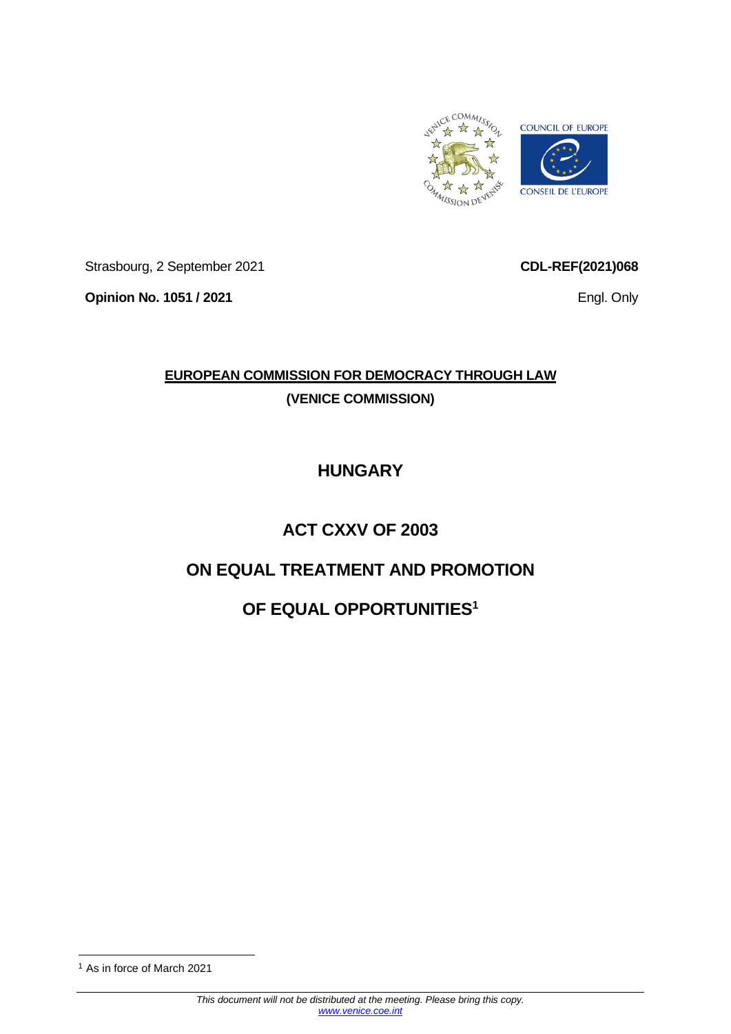

Strasbourg, 2 September 2021

**Opinion No. 1051 / 2021**

**CDL-REF(2021)068**

Engl. Only

# **EUROPEAN COMMISSION FOR DEMOCRACY THROUGH LAW (VENICE COMMISSION)**

# **HUNGARY**

# **ACT CXXV OF 2003**

# **ON EQUAL TREATMENT AND PROMOTION**

# **OF EQUAL OPPORTUNITIES<sup>1</sup>**

<sup>1</sup> As in force of March 2021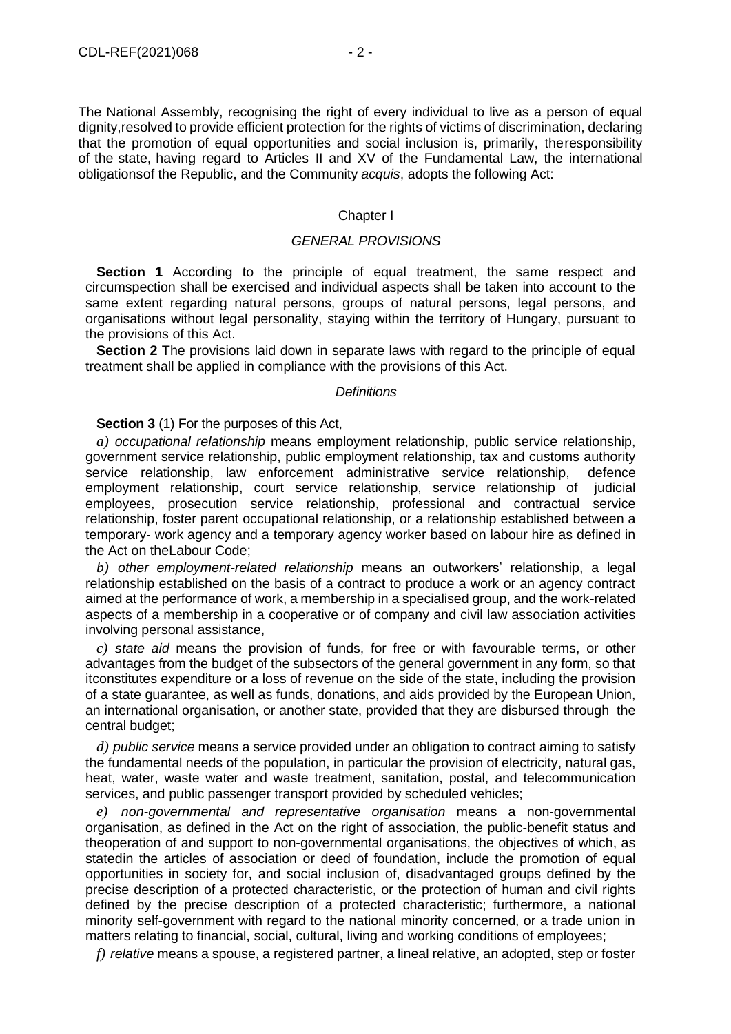The National Assembly, recognising the right of every individual to live as a person of equal dignity,resolved to provide efficient protection for the rights of victims of discrimination, declaring that the promotion of equal opportunities and social inclusion is, primarily, the responsibility of the state, having regard to Articles II and XV of the Fundamental Law, the international obligationsof the Republic, and the Community *acquis*, adopts the following Act:

### Chapter I

## *GENERAL PROVISIONS*

**Section 1** According to the principle of equal treatment, the same respect and circumspection shall be exercised and individual aspects shall be taken into account to the same extent regarding natural persons, groups of natural persons, legal persons, and organisations without legal personality, staying within the territory of Hungary, pursuant to the provisions of this Act.

**Section 2** The provisions laid down in separate laws with regard to the principle of equal treatment shall be applied in compliance with the provisions of this Act.

#### *Definitions*

## **Section 3** (1) For the purposes of this Act,

*a) occupational relationship* means employment relationship, public service relationship, government service relationship, public employment relationship, tax and customs authority service relationship, law enforcement administrative service relationship, defence employment relationship, court service relationship, service relationship of judicial employees, prosecution service relationship, professional and contractual service relationship, foster parent occupational relationship, or a relationship established between a temporary- work agency and a temporary agency worker based on labour hire as defined in the Act on theLabour Code;

*b) other employment-related relationship* means an outworkers' relationship, a legal relationship established on the basis of a contract to produce a work or an agency contract aimed at the performance of work, a membership in a specialised group, and the work-related aspects of a membership in a cooperative or of company and civil law association activities involving personal assistance,

*c) state aid* means the provision of funds, for free or with favourable terms, or other advantages from the budget of the subsectors of the general government in any form, so that itconstitutes expenditure or a loss of revenue on the side of the state, including the provision of a state guarantee, as well as funds, donations, and aids provided by the European Union, an international organisation, or another state, provided that they are disbursed through the central budget;

*d) public service* means a service provided under an obligation to contract aiming to satisfy the fundamental needs of the population, in particular the provision of electricity, natural gas, heat, water, waste water and waste treatment, sanitation, postal, and telecommunication services, and public passenger transport provided by scheduled vehicles;

*e) non-governmental and representative organisation* means a non-governmental organisation, as defined in the Act on the right of association, the public-benefit status and theoperation of and support to non-governmental organisations, the objectives of which, as statedin the articles of association or deed of foundation, include the promotion of equal opportunities in society for, and social inclusion of, disadvantaged groups defined by the precise description of a protected characteristic, or the protection of human and civil rights defined by the precise description of a protected characteristic; furthermore, a national minority self-government with regard to the national minority concerned, or a trade union in matters relating to financial, social, cultural, living and working conditions of employees;

*f) relative* means a spouse, a registered partner, a lineal relative, an adopted, step or foster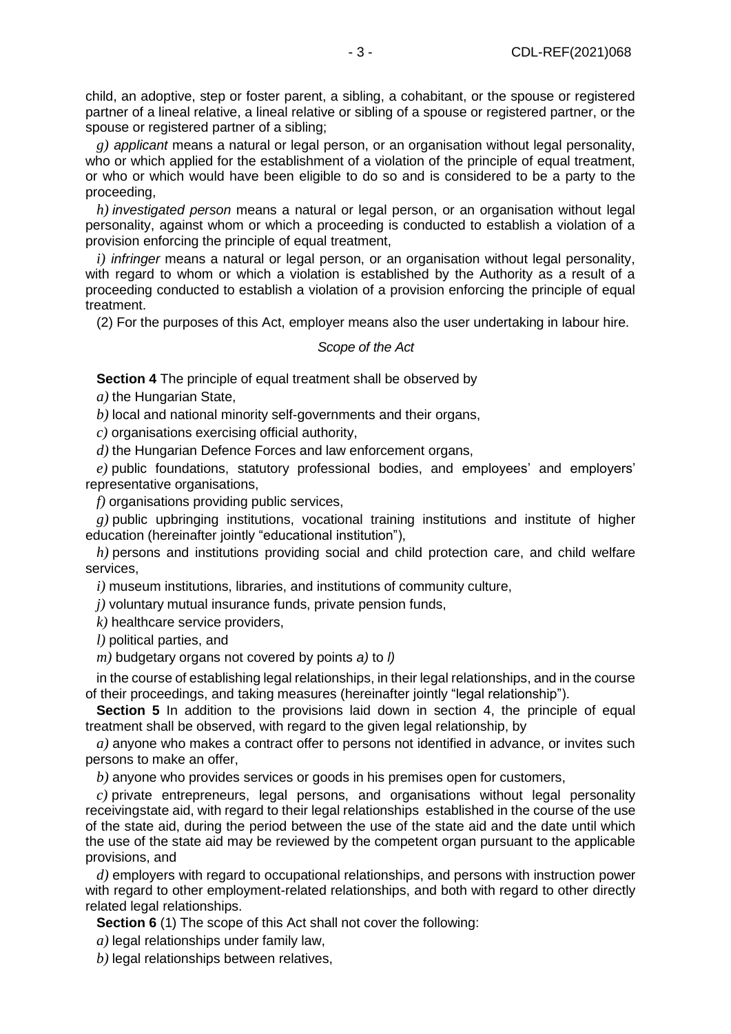child, an adoptive, step or foster parent, a sibling, a cohabitant, or the spouse or registered partner of a lineal relative, a lineal relative or sibling of a spouse or registered partner, or the spouse or registered partner of a sibling;

*g) applicant* means a natural or legal person, or an organisation without legal personality, who or which applied for the establishment of a violation of the principle of equal treatment, or who or which would have been eligible to do so and is considered to be a party to the proceeding,

*h) investigated person* means a natural or legal person, or an organisation without legal personality, against whom or which a proceeding is conducted to establish a violation of a provision enforcing the principle of equal treatment,

*i) infringer* means a natural or legal person, or an organisation without legal personality, with regard to whom or which a violation is established by the Authority as a result of a proceeding conducted to establish a violation of a provision enforcing the principle of equal treatment.

(2) For the purposes of this Act, employer means also the user undertaking in labour hire.

#### *Scope of the Act*

**Section 4** The principle of equal treatment shall be observed by

*a)* the Hungarian State,

*b)* local and national minority self-governments and their organs,

*c)* organisations exercising official authority,

*d)* the Hungarian Defence Forces and law enforcement organs,

*e)* public foundations, statutory professional bodies, and employees' and employers' representative organisations,

*f)* organisations providing public services,

*g)* public upbringing institutions, vocational training institutions and institute of higher education (hereinafter jointly "educational institution"),

*h)* persons and institutions providing social and child protection care, and child welfare services,

*i)* museum institutions, libraries, and institutions of community culture,

*j)* voluntary mutual insurance funds, private pension funds,

*k)* healthcare service providers,

*l)* political parties, and

*m)* budgetary organs not covered by points *a)* to *l)*

in the course of establishing legal relationships, in their legal relationships, and in the course of their proceedings, and taking measures (hereinafter jointly "legal relationship").

**Section 5** In addition to the provisions laid down in section 4, the principle of equal treatment shall be observed, with regard to the given legal relationship, by

*a)* anyone who makes a contract offer to persons not identified in advance, or invites such persons to make an offer,

*b)* anyone who provides services or goods in his premises open for customers,

*c)* private entrepreneurs, legal persons, and organisations without legal personality receivingstate aid, with regard to their legal relationships established in the course of the use of the state aid, during the period between the use of the state aid and the date until which the use of the state aid may be reviewed by the competent organ pursuant to the applicable provisions, and

*d)* employers with regard to occupational relationships, and persons with instruction power with regard to other employment-related relationships, and both with regard to other directly related legal relationships.

**Section 6** (1) The scope of this Act shall not cover the following:

*a)* legal relationships under family law,

*b)* legal relationships between relatives,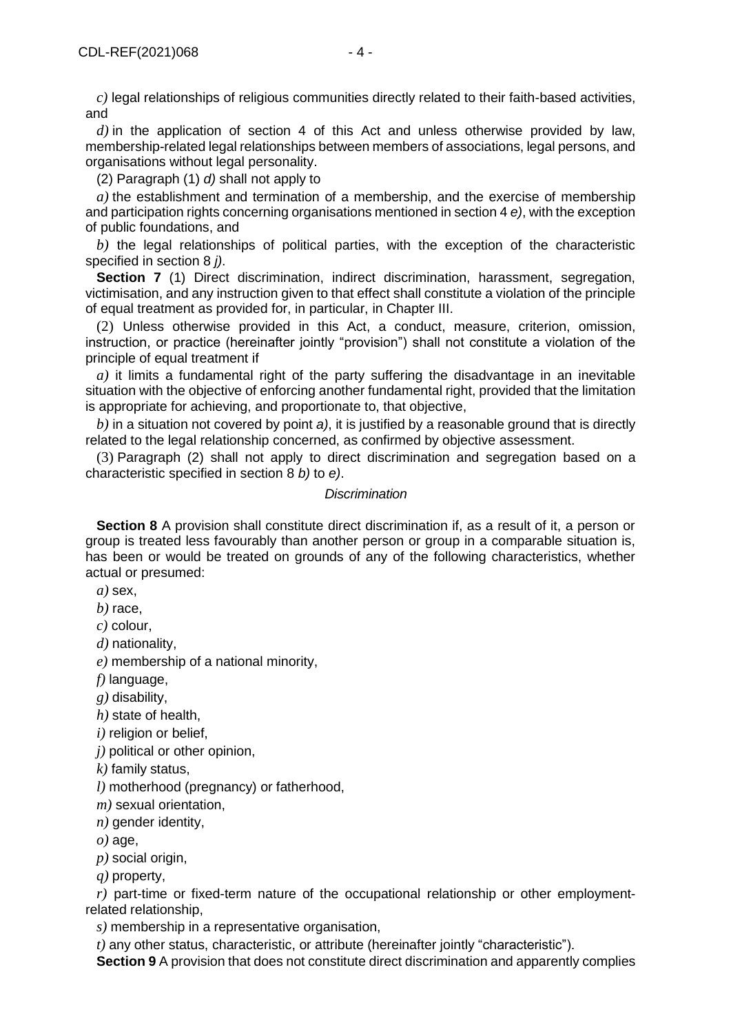*c)* legal relationships of religious communities directly related to their faith-based activities, and

*d)* in the application of section 4 of this Act and unless otherwise provided by law, membership-related legal relationships between members of associations, legal persons, and organisations without legal personality.

(2) Paragraph (1) *d)* shall not apply to

*a)* the establishment and termination of a membership, and the exercise of membership and participation rights concerning organisations mentioned in section 4 *e)*, with the exception of public foundations, and

*b)* the legal relationships of political parties, with the exception of the characteristic specified in section 8 *j)*.

**Section 7** (1) Direct discrimination, indirect discrimination, harassment, segregation, victimisation, and any instruction given to that effect shall constitute a violation of the principle of equal treatment as provided for, in particular, in Chapter III.

(2) Unless otherwise provided in this Act, a conduct, measure, criterion, omission, instruction, or practice (hereinafter jointly "provision") shall not constitute a violation of the principle of equal treatment if

*a)* it limits a fundamental right of the party suffering the disadvantage in an inevitable situation with the objective of enforcing another fundamental right, provided that the limitation is appropriate for achieving, and proportionate to, that objective,

*b)* in a situation not covered by point *a)*, it is justified by a reasonable ground that is directly related to the legal relationship concerned, as confirmed by objective assessment.

(3) Paragraph (2) shall not apply to direct discrimination and segregation based on a characteristic specified in section 8 *b)* to *e)*.

### *Discrimination*

**Section 8** A provision shall constitute direct discrimination if, as a result of it, a person or group is treated less favourably than another person or group in a comparable situation is, has been or would be treated on grounds of any of the following characteristics, whether actual or presumed:

*a)* sex,

*b)* race,

*c)* colour,

*d)* nationality,

*e)* membership of a national minority,

*f)* language,

*g)* disability,

*h)* state of health,

*i)* religion or belief,

*j)* political or other opinion,

*k)* family status,

*l)* motherhood (pregnancy) or fatherhood,

*m)* sexual orientation,

*n)* gender identity,

 $o)$  age,

*p)* social origin,

*q)* property,

*r)* part-time or fixed-term nature of the occupational relationship or other employmentrelated relationship,

*s)* membership in a representative organisation,

*t)* any other status, characteristic, or attribute (hereinafter jointly "characteristic").

**Section 9** A provision that does not constitute direct discrimination and apparently complies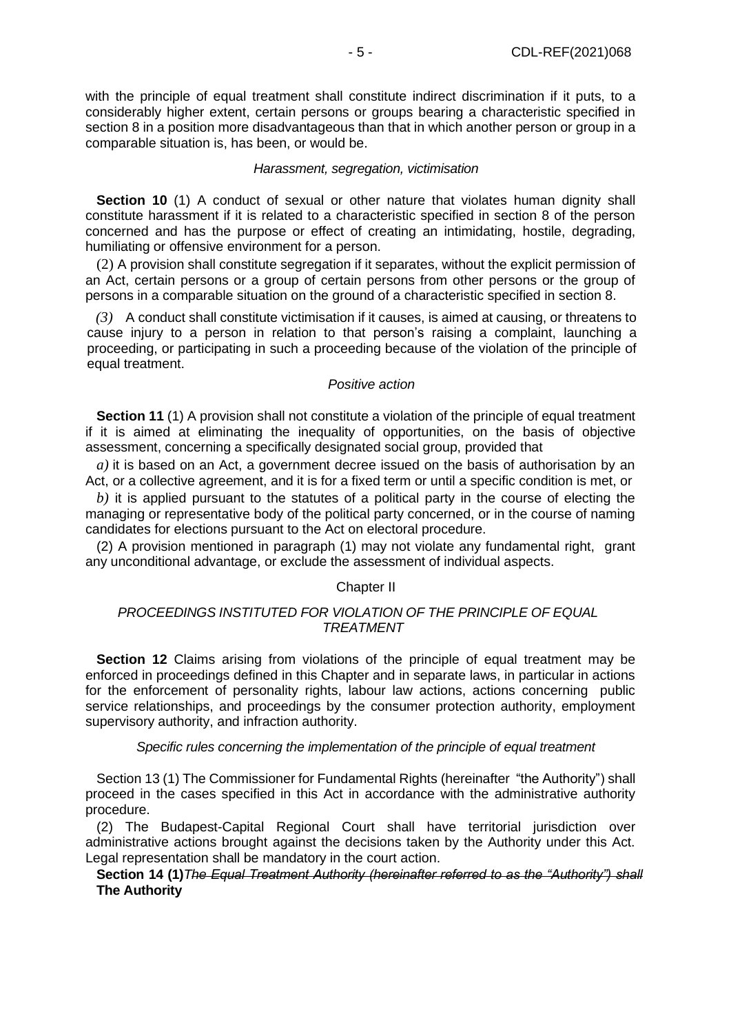with the principle of equal treatment shall constitute indirect discrimination if it puts, to a considerably higher extent, certain persons or groups bearing a characteristic specified in section 8 in a position more disadvantageous than that in which another person or group in a comparable situation is, has been, or would be.

## *Harassment, segregation, victimisation*

**Section 10** (1) A conduct of sexual or other nature that violates human dignity shall constitute harassment if it is related to a characteristic specified in section 8 of the person concerned and has the purpose or effect of creating an intimidating, hostile, degrading, humiliating or offensive environment for a person.

(2) A provision shall constitute segregation if it separates, without the explicit permission of an Act, certain persons or a group of certain persons from other persons or the group of persons in a comparable situation on the ground of a characteristic specified in section 8.

*(3)* A conduct shall constitute victimisation if it causes, is aimed at causing, or threatens to cause injury to a person in relation to that person's raising a complaint, launching a proceeding, or participating in such a proceeding because of the violation of the principle of equal treatment.

## *Positive action*

**Section 11** (1) A provision shall not constitute a violation of the principle of equal treatment if it is aimed at eliminating the inequality of opportunities, on the basis of objective assessment, concerning a specifically designated social group, provided that

*a)* it is based on an Act, a government decree issued on the basis of authorisation by an Act, or a collective agreement, and it is for a fixed term or until a specific condition is met, or

*b)* it is applied pursuant to the statutes of a political party in the course of electing the managing or representative body of the political party concerned, or in the course of naming candidates for elections pursuant to the Act on electoral procedure.

(2) A provision mentioned in paragraph (1) may not violate any fundamental right, grant any unconditional advantage, or exclude the assessment of individual aspects.

## Chapter II

## *PROCEEDINGS INSTITUTED FOR VIOLATION OF THE PRINCIPLE OF EQUAL TREATMENT*

**Section 12** Claims arising from violations of the principle of equal treatment may be enforced in proceedings defined in this Chapter and in separate laws, in particular in actions for the enforcement of personality rights, labour law actions, actions concerning public service relationships, and proceedings by the consumer protection authority, employment supervisory authority, and infraction authority.

## *Specific rules concerning the implementation of the principle of equal treatment*

Section 13 (1) The Commissioner for Fundamental Rights (hereinafter "the Authority") shall proceed in the cases specified in this Act in accordance with the administrative authority procedure.

(2) The Budapest-Capital Regional Court shall have territorial jurisdiction over administrative actions brought against the decisions taken by the Authority under this Act. Legal representation shall be mandatory in the court action.

## **Section 14 (1)***The Equal Treatment Authority (hereinafter referred to as the "Authority") shall* **The Authority**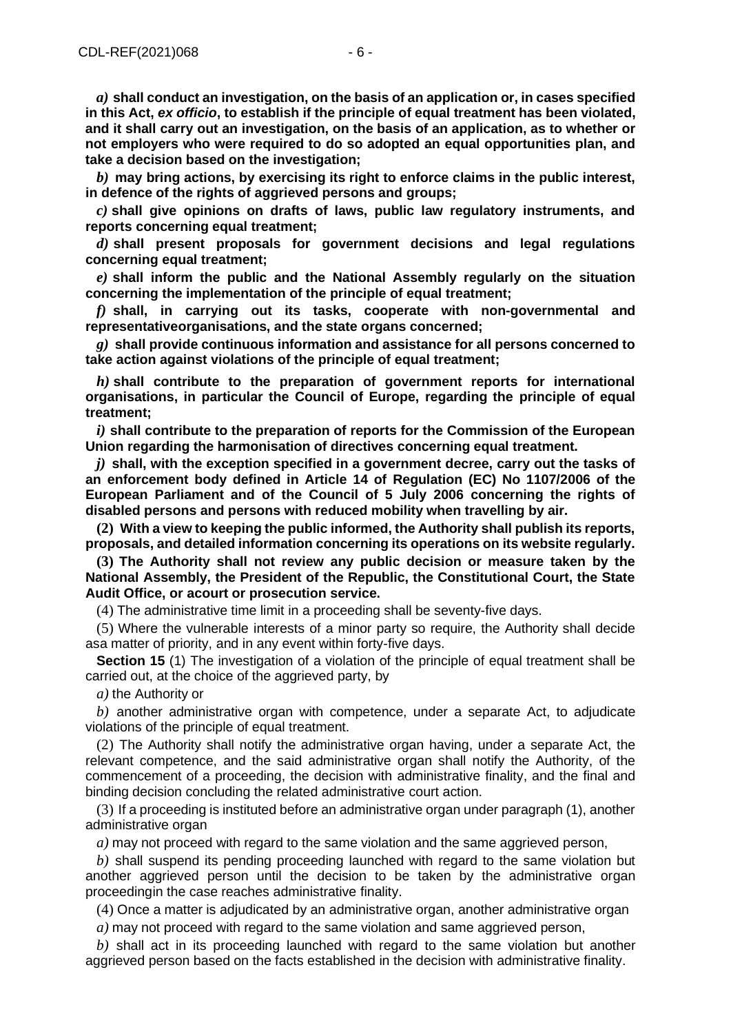*a)* **shall conduct an investigation, on the basis of an application or, in cases specified in this Act,** *ex officio***, to establish if the principle of equal treatment has been violated, and it shall carry out an investigation, on the basis of an application, as to whether or not employers who were required to do so adopted an equal opportunities plan, and take a decision based on the investigation;**

*b)* **may bring actions, by exercising its right to enforce claims in the public interest, in defence of the rights of aggrieved persons and groups;**

*c)* **shall give opinions on drafts of laws, public law regulatory instruments, and reports concerning equal treatment;**

*d)* **shall present proposals for government decisions and legal regulations concerning equal treatment;**

*e)* **shall inform the public and the National Assembly regularly on the situation concerning the implementation of the principle of equal treatment;**

*f)* **shall, in carrying out its tasks, cooperate with non-governmental and representativeorganisations, and the state organs concerned;**

*g)* **shall provide continuous information and assistance for all persons concerned to take action against violations of the principle of equal treatment;**

*h)* **shall contribute to the preparation of government reports for international organisations, in particular the Council of Europe, regarding the principle of equal treatment;**

*i)* **shall contribute to the preparation of reports for the Commission of the European Union regarding the harmonisation of directives concerning equal treatment.**

*j)* **shall, with the exception specified in a government decree, carry out the tasks of an enforcement body defined in Article 14 of Regulation (EC) No 1107/2006 of the European Parliament and of the Council of 5 July 2006 concerning the rights of disabled persons and persons with reduced mobility when travelling by air.**

**(2) With a view to keeping the public informed, the Authority shall publish its reports, proposals, and detailed information concerning its operations on its website regularly.**

**(3) The Authority shall not review any public decision or measure taken by the National Assembly, the President of the Republic, the Constitutional Court, the State Audit Office, or acourt or prosecution service.**

(4) The administrative time limit in a proceeding shall be seventy-five days.

(5) Where the vulnerable interests of a minor party so require, the Authority shall decide asa matter of priority, and in any event within forty-five days.

**Section 15** (1) The investigation of a violation of the principle of equal treatment shall be carried out, at the choice of the aggrieved party, by

*a)* the Authority or

*b)* another administrative organ with competence, under a separate Act, to adjudicate violations of the principle of equal treatment.

(2) The Authority shall notify the administrative organ having, under a separate Act, the relevant competence, and the said administrative organ shall notify the Authority, of the commencement of a proceeding, the decision with administrative finality, and the final and binding decision concluding the related administrative court action.

(3) If a proceeding is instituted before an administrative organ under paragraph (1), another administrative organ

*a)* may not proceed with regard to the same violation and the same aggrieved person,

*b)* shall suspend its pending proceeding launched with regard to the same violation but another aggrieved person until the decision to be taken by the administrative organ proceedingin the case reaches administrative finality.

(4) Once a matter is adjudicated by an administrative organ, another administrative organ

*a)* may not proceed with regard to the same violation and same aggrieved person,

*b)* shall act in its proceeding launched with regard to the same violation but another aggrieved person based on the facts established in the decision with administrative finality.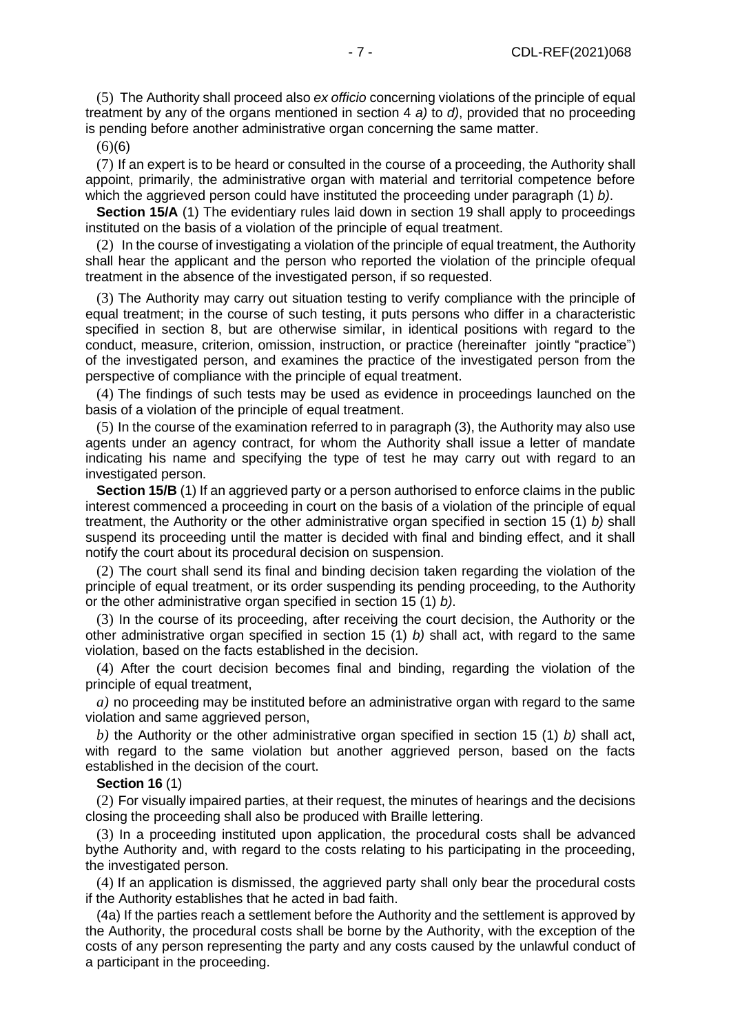(5) The Authority shall proceed also *ex officio* concerning violations of the principle of equal treatment by any of the organs mentioned in section 4 *a)* to *d)*, provided that no proceeding is pending before another administrative organ concerning the same matter.

 $(6)(6)$ 

(7) If an expert is to be heard or consulted in the course of a proceeding, the Authority shall appoint, primarily, the administrative organ with material and territorial competence before which the aggrieved person could have instituted the proceeding under paragraph (1) *b)*.

**Section 15/A** (1) The evidentiary rules laid down in section 19 shall apply to proceedings instituted on the basis of a violation of the principle of equal treatment.

(2) In the course of investigating a violation of the principle of equal treatment, the Authority shall hear the applicant and the person who reported the violation of the principle ofequal treatment in the absence of the investigated person, if so requested.

(3) The Authority may carry out situation testing to verify compliance with the principle of equal treatment; in the course of such testing, it puts persons who differ in a characteristic specified in section 8, but are otherwise similar, in identical positions with regard to the conduct, measure, criterion, omission, instruction, or practice (hereinafter jointly "practice") of the investigated person, and examines the practice of the investigated person from the perspective of compliance with the principle of equal treatment.

(4) The findings of such tests may be used as evidence in proceedings launched on the basis of a violation of the principle of equal treatment.

(5) In the course of the examination referred to in paragraph (3), the Authority may also use agents under an agency contract, for whom the Authority shall issue a letter of mandate indicating his name and specifying the type of test he may carry out with regard to an investigated person.

**Section 15/B** (1) If an aggrieved party or a person authorised to enforce claims in the public interest commenced a proceeding in court on the basis of a violation of the principle of equal treatment, the Authority or the other administrative organ specified in section 15 (1) *b)* shall suspend its proceeding until the matter is decided with final and binding effect, and it shall notify the court about its procedural decision on suspension.

(2) The court shall send its final and binding decision taken regarding the violation of the principle of equal treatment, or its order suspending its pending proceeding, to the Authority or the other administrative organ specified in section 15 (1) *b)*.

(3) In the course of its proceeding, after receiving the court decision, the Authority or the other administrative organ specified in section 15 (1) *b)* shall act, with regard to the same violation, based on the facts established in the decision.

(4) After the court decision becomes final and binding, regarding the violation of the principle of equal treatment,

*a)* no proceeding may be instituted before an administrative organ with regard to the same violation and same aggrieved person,

*b)* the Authority or the other administrative organ specified in section 15 (1) *b)* shall act, with regard to the same violation but another aggrieved person, based on the facts established in the decision of the court.

#### **Section 16** (1)

(2) For visually impaired parties, at their request, the minutes of hearings and the decisions closing the proceeding shall also be produced with Braille lettering.

(3) In a proceeding instituted upon application, the procedural costs shall be advanced bythe Authority and, with regard to the costs relating to his participating in the proceeding, the investigated person.

(4) If an application is dismissed, the aggrieved party shall only bear the procedural costs if the Authority establishes that he acted in bad faith.

(4a) If the parties reach a settlement before the Authority and the settlement is approved by the Authority, the procedural costs shall be borne by the Authority, with the exception of the costs of any person representing the party and any costs caused by the unlawful conduct of a participant in the proceeding.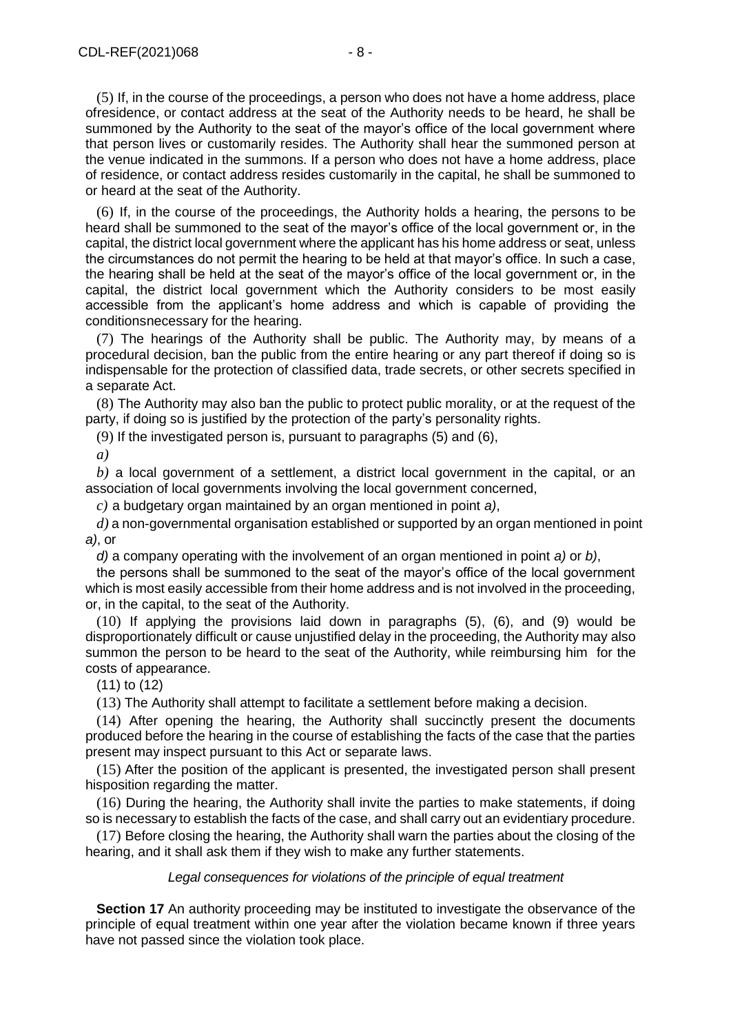(5) If, in the course of the proceedings, a person who does not have a home address, place ofresidence, or contact address at the seat of the Authority needs to be heard, he shall be summoned by the Authority to the seat of the mayor's office of the local government where that person lives or customarily resides. The Authority shall hear the summoned person at the venue indicated in the summons. If a person who does not have a home address, place of residence, or contact address resides customarily in the capital, he shall be summoned to or heard at the seat of the Authority.

(6) If, in the course of the proceedings, the Authority holds a hearing, the persons to be heard shall be summoned to the seat of the mayor's office of the local government or, in the capital, the district local government where the applicant has his home address or seat, unless the circumstances do not permit the hearing to be held at that mayor's office. In such a case, the hearing shall be held at the seat of the mayor's office of the local government or, in the capital, the district local government which the Authority considers to be most easily accessible from the applicant's home address and which is capable of providing the conditionsnecessary for the hearing.

(7) The hearings of the Authority shall be public. The Authority may, by means of a procedural decision, ban the public from the entire hearing or any part thereof if doing so is indispensable for the protection of classified data, trade secrets, or other secrets specified in a separate Act.

(8) The Authority may also ban the public to protect public morality, or at the request of the party, if doing so is justified by the protection of the party's personality rights.

(9) If the investigated person is, pursuant to paragraphs (5) and (6),

*a)*

*b)* a local government of a settlement, a district local government in the capital, or an association of local governments involving the local government concerned,

*c)* a budgetary organ maintained by an organ mentioned in point *a)*,

*d)* a non-governmental organisation established or supported by an organ mentioned in point *a)*, or

*d)* a company operating with the involvement of an organ mentioned in point *a)* or *b)*,

the persons shall be summoned to the seat of the mayor's office of the local government which is most easily accessible from their home address and is not involved in the proceeding, or, in the capital, to the seat of the Authority.

(10) If applying the provisions laid down in paragraphs (5), (6), and (9) would be disproportionately difficult or cause unjustified delay in the proceeding, the Authority may also summon the person to be heard to the seat of the Authority, while reimbursing him for the costs of appearance.

(11) to (12)

(13) The Authority shall attempt to facilitate a settlement before making a decision.

(14) After opening the hearing, the Authority shall succinctly present the documents produced before the hearing in the course of establishing the facts of the case that the parties present may inspect pursuant to this Act or separate laws.

(15) After the position of the applicant is presented, the investigated person shall present hisposition regarding the matter.

(16) During the hearing, the Authority shall invite the parties to make statements, if doing so is necessary to establish the facts of the case, and shall carry out an evidentiary procedure.

(17) Before closing the hearing, the Authority shall warn the parties about the closing of the hearing, and it shall ask them if they wish to make any further statements.

#### *Legal consequences for violations of the principle of equal treatment*

**Section 17** An authority proceeding may be instituted to investigate the observance of the principle of equal treatment within one year after the violation became known if three years have not passed since the violation took place.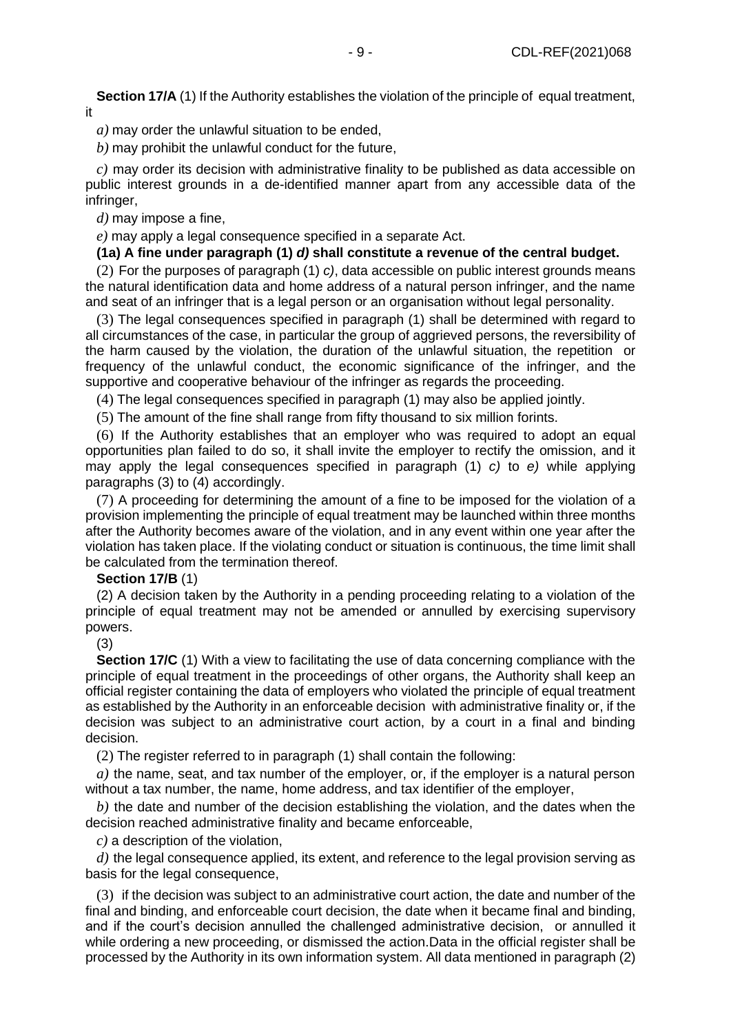**Section 17/A** (1) If the Authority establishes the violation of the principle of equal treatment, it

*a)* may order the unlawful situation to be ended,

*b)* may prohibit the unlawful conduct for the future,

*c)* may order its decision with administrative finality to be published as data accessible on public interest grounds in a de-identified manner apart from any accessible data of the infringer,

*d)* may impose a fine,

*e)* may apply a legal consequence specified in a separate Act.

## **(1a) A fine under paragraph (1)** *d)* **shall constitute a revenue of the central budget.**

(2) For the purposes of paragraph (1) *c)*, data accessible on public interest grounds means the natural identification data and home address of a natural person infringer, and the name and seat of an infringer that is a legal person or an organisation without legal personality.

(3) The legal consequences specified in paragraph (1) shall be determined with regard to all circumstances of the case, in particular the group of aggrieved persons, the reversibility of the harm caused by the violation, the duration of the unlawful situation, the repetition or frequency of the unlawful conduct, the economic significance of the infringer, and the supportive and cooperative behaviour of the infringer as regards the proceeding.

(4) The legal consequences specified in paragraph (1) may also be applied jointly.

(5) The amount of the fine shall range from fifty thousand to six million forints.

(6) If the Authority establishes that an employer who was required to adopt an equal opportunities plan failed to do so, it shall invite the employer to rectify the omission, and it may apply the legal consequences specified in paragraph (1) *c)* to *e)* while applying paragraphs (3) to (4) accordingly.

(7) A proceeding for determining the amount of a fine to be imposed for the violation of a provision implementing the principle of equal treatment may be launched within three months after the Authority becomes aware of the violation, and in any event within one year after the violation has taken place. If the violating conduct or situation is continuous, the time limit shall be calculated from the termination thereof.

# **Section 17/B** (1)

(2) A decision taken by the Authority in a pending proceeding relating to a violation of the principle of equal treatment may not be amended or annulled by exercising supervisory powers.

(3)

**Section 17/C** (1) With a view to facilitating the use of data concerning compliance with the principle of equal treatment in the proceedings of other organs, the Authority shall keep an official register containing the data of employers who violated the principle of equal treatment as established by the Authority in an enforceable decision with administrative finality or, if the decision was subject to an administrative court action, by a court in a final and binding decision.

(2) The register referred to in paragraph (1) shall contain the following:

*a)* the name, seat, and tax number of the employer, or, if the employer is a natural person without a tax number, the name, home address, and tax identifier of the employer,

*b)* the date and number of the decision establishing the violation, and the dates when the decision reached administrative finality and became enforceable,

*c)* a description of the violation,

*d)* the legal consequence applied, its extent, and reference to the legal provision serving as basis for the legal consequence,

(3) if the decision was subject to an administrative court action, the date and number of the final and binding, and enforceable court decision, the date when it became final and binding, and if the court's decision annulled the challenged administrative decision, or annulled it while ordering a new proceeding, or dismissed the action.Data in the official register shall be processed by the Authority in its own information system. All data mentioned in paragraph (2)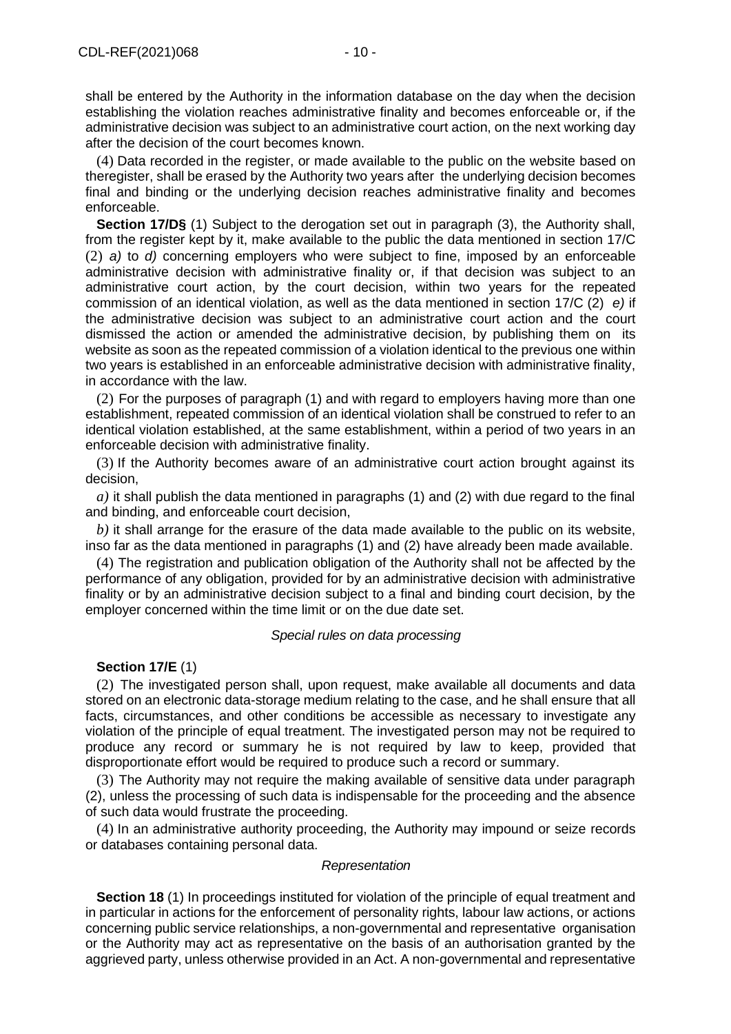shall be entered by the Authority in the information database on the day when the decision establishing the violation reaches administrative finality and becomes enforceable or, if the administrative decision was subject to an administrative court action, on the next working day after the decision of the court becomes known.

(4) Data recorded in the register, or made available to the public on the website based on theregister, shall be erased by the Authority two years after the underlying decision becomes final and binding or the underlying decision reaches administrative finality and becomes enforceable.

**Section 17/D§** (1) Subject to the derogation set out in paragraph (3), the Authority shall, from the register kept by it, make available to the public the data mentioned in section 17/C (2) *a)* to *d)* concerning employers who were subject to fine, imposed by an enforceable administrative decision with administrative finality or, if that decision was subject to an administrative court action, by the court decision, within two years for the repeated commission of an identical violation, as well as the data mentioned in section 17/C (2) *e)* if the administrative decision was subject to an administrative court action and the court dismissed the action or amended the administrative decision, by publishing them on its website as soon as the repeated commission of a violation identical to the previous one within two years is established in an enforceable administrative decision with administrative finality, in accordance with the law.

(2) For the purposes of paragraph (1) and with regard to employers having more than one establishment, repeated commission of an identical violation shall be construed to refer to an identical violation established, at the same establishment, within a period of two years in an enforceable decision with administrative finality.

(3) If the Authority becomes aware of an administrative court action brought against its decision,

*a)* it shall publish the data mentioned in paragraphs (1) and (2) with due regard to the final and binding, and enforceable court decision,

*b)* it shall arrange for the erasure of the data made available to the public on its website, inso far as the data mentioned in paragraphs (1) and (2) have already been made available.

(4) The registration and publication obligation of the Authority shall not be affected by the performance of any obligation, provided for by an administrative decision with administrative finality or by an administrative decision subject to a final and binding court decision, by the employer concerned within the time limit or on the due date set.

#### *Special rules on data processing*

## **Section 17/E** (1)

(2) The investigated person shall, upon request, make available all documents and data stored on an electronic data-storage medium relating to the case, and he shall ensure that all facts, circumstances, and other conditions be accessible as necessary to investigate any violation of the principle of equal treatment. The investigated person may not be required to produce any record or summary he is not required by law to keep, provided that disproportionate effort would be required to produce such a record or summary.

(3) The Authority may not require the making available of sensitive data under paragraph (2), unless the processing of such data is indispensable for the proceeding and the absence of such data would frustrate the proceeding.

(4) In an administrative authority proceeding, the Authority may impound or seize records or databases containing personal data.

## *Representation*

**Section 18** (1) In proceedings instituted for violation of the principle of equal treatment and in particular in actions for the enforcement of personality rights, labour law actions, or actions concerning public service relationships, a non-governmental and representative organisation or the Authority may act as representative on the basis of an authorisation granted by the aggrieved party, unless otherwise provided in an Act. A non-governmental and representative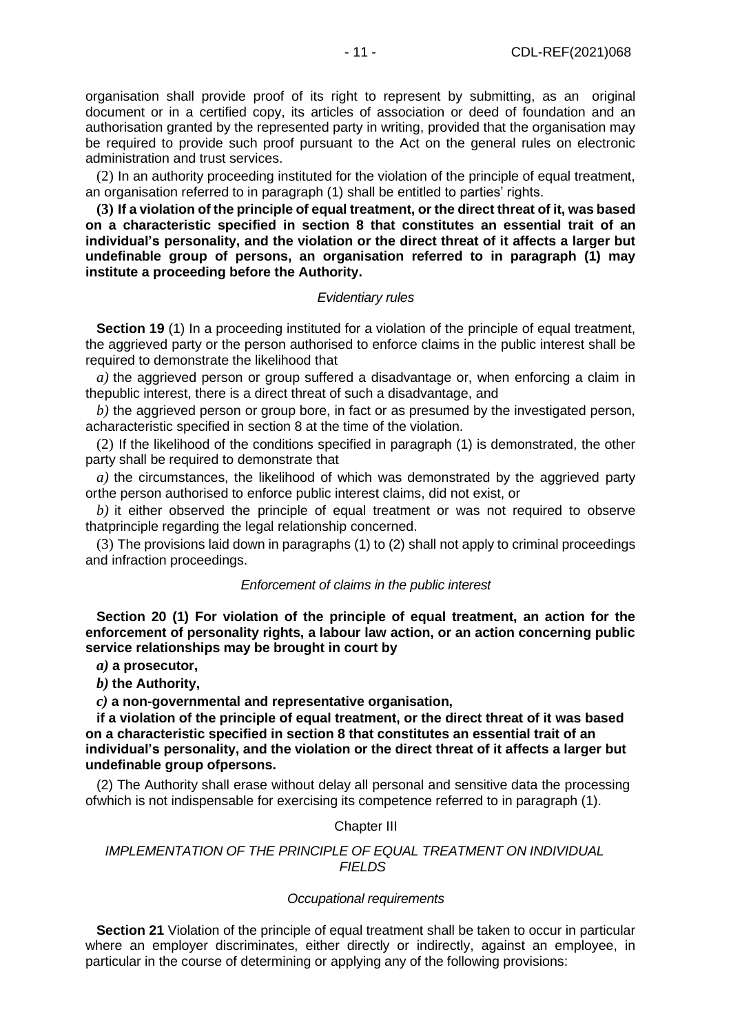organisation shall provide proof of its right to represent by submitting, as an original document or in a certified copy, its articles of association or deed of foundation and an authorisation granted by the represented party in writing, provided that the organisation may be required to provide such proof pursuant to the Act on the general rules on electronic administration and trust services.

(2) In an authority proceeding instituted for the violation of the principle of equal treatment, an organisation referred to in paragraph (1) shall be entitled to parties' rights.

**(3) If a violation of the principle of equal treatment, or the direct threat of it, was based on a characteristic specified in section 8 that constitutes an essential trait of an individual's personality, and the violation or the direct threat of it affects a larger but undefinable group of persons, an organisation referred to in paragraph (1) may institute a proceeding before the Authority.**

## *Evidentiary rules*

**Section 19** (1) In a proceeding instituted for a violation of the principle of equal treatment, the aggrieved party or the person authorised to enforce claims in the public interest shall be required to demonstrate the likelihood that

*a)* the aggrieved person or group suffered a disadvantage or, when enforcing a claim in thepublic interest, there is a direct threat of such a disadvantage, and

b) the agarieved person or group bore, in fact or as presumed by the investigated person, acharacteristic specified in section 8 at the time of the violation.

(2) If the likelihood of the conditions specified in paragraph (1) is demonstrated, the other party shall be required to demonstrate that

*a)* the circumstances, the likelihood of which was demonstrated by the aggrieved party orthe person authorised to enforce public interest claims, did not exist, or

*b)* it either observed the principle of equal treatment or was not required to observe thatprinciple regarding the legal relationship concerned.

(3) The provisions laid down in paragraphs (1) to (2) shall not apply to criminal proceedings and infraction proceedings.

#### *Enforcement of claims in the public interest*

**Section 20 (1) For violation of the principle of equal treatment, an action for the enforcement of personality rights, a labour law action, or an action concerning public service relationships may be brought in court by**

*a)* **a prosecutor,**

*b)* **the Authority,**

*c)* **a non-governmental and representative organisation,**

**if a violation of the principle of equal treatment, or the direct threat of it was based on a characteristic specified in section 8 that constitutes an essential trait of an individual's personality, and the violation or the direct threat of it affects a larger but undefinable group ofpersons.**

(2) The Authority shall erase without delay all personal and sensitive data the processing ofwhich is not indispensable for exercising its competence referred to in paragraph (1).

## Chapter III

## *IMPLEMENTATION OF THE PRINCIPLE OF EQUAL TREATMENT ON INDIVIDUAL FIELDS*

#### *Occupational requirements*

**Section 21** Violation of the principle of equal treatment shall be taken to occur in particular where an employer discriminates, either directly or indirectly, against an employee, in particular in the course of determining or applying any of the following provisions: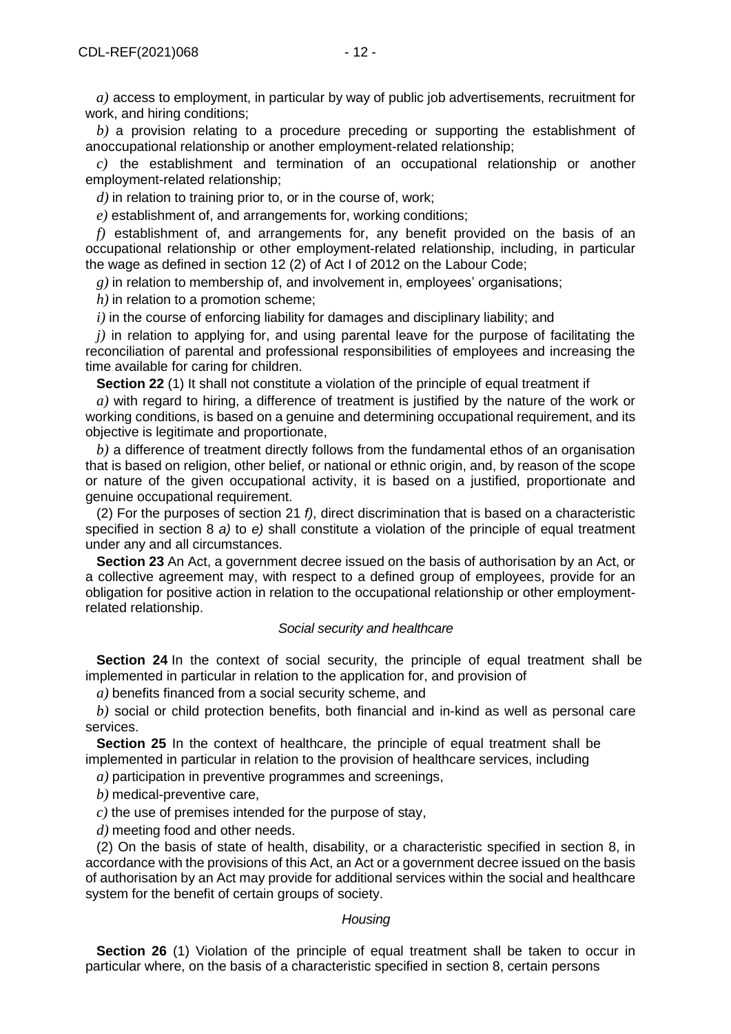*a)* access to employment, in particular by way of public job advertisements, recruitment for work, and hiring conditions;

*b)* a provision relating to a procedure preceding or supporting the establishment of anoccupational relationship or another employment-related relationship;

*c)* the establishment and termination of an occupational relationship or another employment-related relationship;

*d)* in relation to training prior to, or in the course of, work;

*e)* establishment of, and arrangements for, working conditions;

*f)* establishment of, and arrangements for, any benefit provided on the basis of an occupational relationship or other employment-related relationship, including, in particular the wage as defined in section 12 (2) of Act I of 2012 on the Labour Code;

*g)* in relation to membership of, and involvement in, employees' organisations;

*h)* in relation to a promotion scheme;

*i)* in the course of enforcing liability for damages and disciplinary liability; and

*j)* in relation to applying for, and using parental leave for the purpose of facilitating the reconciliation of parental and professional responsibilities of employees and increasing the time available for caring for children.

**Section 22** (1) It shall not constitute a violation of the principle of equal treatment if

*a)* with regard to hiring, a difference of treatment is justified by the nature of the work or working conditions, is based on a genuine and determining occupational requirement, and its objective is legitimate and proportionate,

*b)* a difference of treatment directly follows from the fundamental ethos of an organisation that is based on religion, other belief, or national or ethnic origin, and, by reason of the scope or nature of the given occupational activity, it is based on a justified, proportionate and genuine occupational requirement.

(2) For the purposes of section 21 *f)*, direct discrimination that is based on a characteristic specified in section 8 *a)* to *e)* shall constitute a violation of the principle of equal treatment under any and all circumstances.

**Section 23** An Act, a government decree issued on the basis of authorisation by an Act, or a collective agreement may, with respect to a defined group of employees, provide for an obligation for positive action in relation to the occupational relationship or other employmentrelated relationship.

## *Social security and healthcare*

**Section 24** In the context of social security, the principle of equal treatment shall be implemented in particular in relation to the application for, and provision of

*a)* benefits financed from a social security scheme, and

*b)* social or child protection benefits, both financial and in-kind as well as personal care services.

**Section 25** In the context of healthcare, the principle of equal treatment shall be implemented in particular in relation to the provision of healthcare services, including

*a)* participation in preventive programmes and screenings,

*b)* medical-preventive care,

*c)* the use of premises intended for the purpose of stay,

*d)* meeting food and other needs.

(2) On the basis of state of health, disability, or a characteristic specified in section 8, in accordance with the provisions of this Act, an Act or a government decree issued on the basis of authorisation by an Act may provide for additional services within the social and healthcare system for the benefit of certain groups of society.

#### *Housing*

**Section 26** (1) Violation of the principle of equal treatment shall be taken to occur in particular where, on the basis of a characteristic specified in section 8, certain persons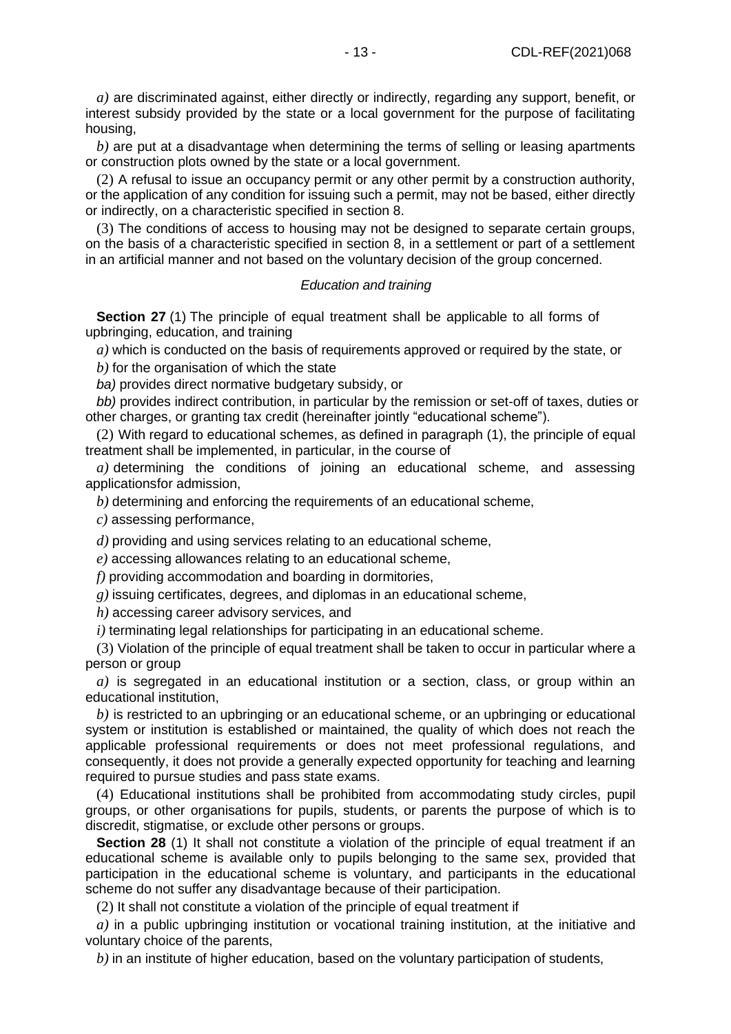*a)* are discriminated against, either directly or indirectly, regarding any support, benefit, or interest subsidy provided by the state or a local government for the purpose of facilitating housing,

*b)* are put at a disadvantage when determining the terms of selling or leasing apartments or construction plots owned by the state or a local government.

(2) A refusal to issue an occupancy permit or any other permit by a construction authority, or the application of any condition for issuing such a permit, may not be based, either directly or indirectly, on a characteristic specified in section 8.

(3) The conditions of access to housing may not be designed to separate certain groups, on the basis of a characteristic specified in section 8, in a settlement or part of a settlement in an artificial manner and not based on the voluntary decision of the group concerned.

#### *Education and training*

**Section 27** (1) The principle of equal treatment shall be applicable to all forms of upbringing, education, and training

*a)* which is conducted on the basis of requirements approved or required by the state, or

*b)* for the organisation of which the state

*ba)* provides direct normative budgetary subsidy, or

*bb)* provides indirect contribution, in particular by the remission or set-off of taxes, duties or other charges, or granting tax credit (hereinafter jointly "educational scheme").

(2) With regard to educational schemes, as defined in paragraph (1), the principle of equal treatment shall be implemented, in particular, in the course of

*a)* determining the conditions of joining an educational scheme, and assessing applicationsfor admission,

*b)* determining and enforcing the requirements of an educational scheme,

*c)* assessing performance,

*d)* providing and using services relating to an educational scheme,

*e)* accessing allowances relating to an educational scheme,

*f)* providing accommodation and boarding in dormitories,

*g)* issuing certificates, degrees, and diplomas in an educational scheme,

*h)* accessing career advisory services, and

*i)* terminating legal relationships for participating in an educational scheme.

(3) Violation of the principle of equal treatment shall be taken to occur in particular where a person or group

*a)* is segregated in an educational institution or a section, class, or group within an educational institution,

*b)* is restricted to an upbringing or an educational scheme, or an upbringing or educational system or institution is established or maintained, the quality of which does not reach the applicable professional requirements or does not meet professional regulations, and consequently, it does not provide a generally expected opportunity for teaching and learning required to pursue studies and pass state exams.

(4) Educational institutions shall be prohibited from accommodating study circles, pupil groups, or other organisations for pupils, students, or parents the purpose of which is to discredit, stigmatise, or exclude other persons or groups.

**Section 28** (1) It shall not constitute a violation of the principle of equal treatment if an educational scheme is available only to pupils belonging to the same sex, provided that participation in the educational scheme is voluntary, and participants in the educational scheme do not suffer any disadvantage because of their participation.

(2) It shall not constitute a violation of the principle of equal treatment if

*a)* in a public upbringing institution or vocational training institution, at the initiative and voluntary choice of the parents,

*b)* in an institute of higher education, based on the voluntary participation of students,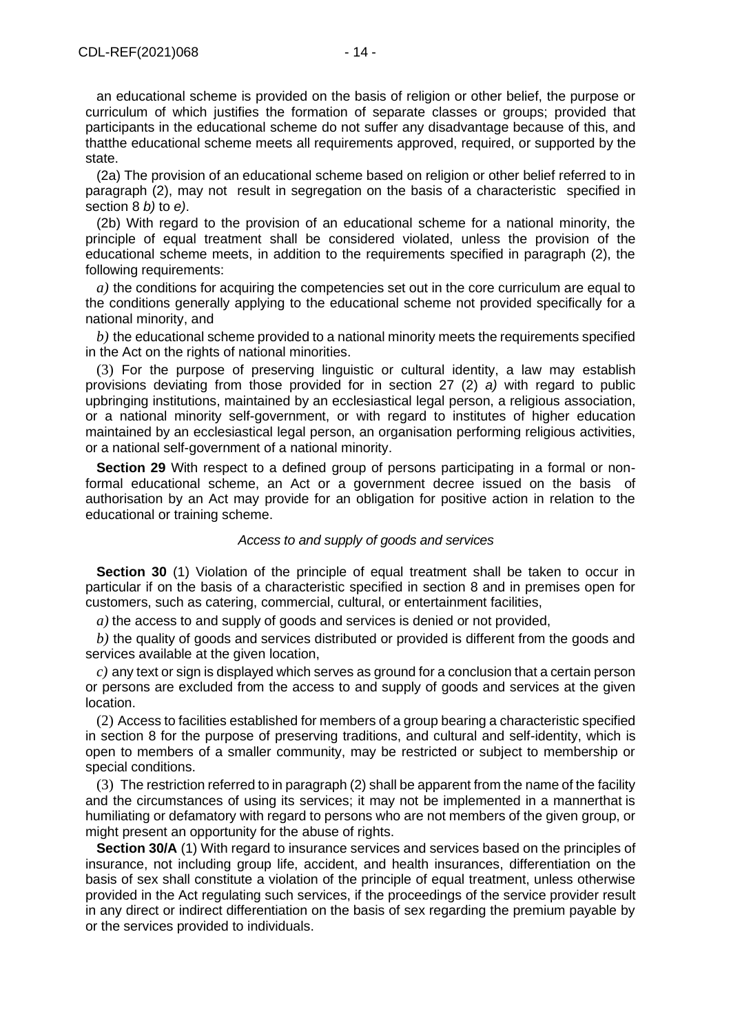an educational scheme is provided on the basis of religion or other belief, the purpose or curriculum of which justifies the formation of separate classes or groups; provided that participants in the educational scheme do not suffer any disadvantage because of this, and thatthe educational scheme meets all requirements approved, required, or supported by the state.

(2a) The provision of an educational scheme based on religion or other belief referred to in paragraph (2), may not result in segregation on the basis of a characteristic specified in section 8 *b)* to *e)*.

(2b) With regard to the provision of an educational scheme for a national minority, the principle of equal treatment shall be considered violated, unless the provision of the educational scheme meets, in addition to the requirements specified in paragraph (2), the following requirements:

*a)* the conditions for acquiring the competencies set out in the core curriculum are equal to the conditions generally applying to the educational scheme not provided specifically for a national minority, and

*b)* the educational scheme provided to a national minority meets the requirements specified in the Act on the rights of national minorities.

(3) For the purpose of preserving linguistic or cultural identity, a law may establish provisions deviating from those provided for in section 27 (2) *a)* with regard to public upbringing institutions, maintained by an ecclesiastical legal person, a religious association, or a national minority self-government, or with regard to institutes of higher education maintained by an ecclesiastical legal person, an organisation performing religious activities, or a national self-government of a national minority.

**Section 29** With respect to a defined group of persons participating in a formal or nonformal educational scheme, an Act or a government decree issued on the basis of authorisation by an Act may provide for an obligation for positive action in relation to the educational or training scheme.

#### *Access to and supply of goods and services*

**Section 30** (1) Violation of the principle of equal treatment shall be taken to occur in particular if on the basis of a characteristic specified in section 8 and in premises open for customers, such as catering, commercial, cultural, or entertainment facilities,

*a)* the access to and supply of goods and services is denied or not provided,

*b)* the quality of goods and services distributed or provided is different from the goods and services available at the given location.

*c)* any text or sign is displayed which serves as ground for a conclusion that a certain person or persons are excluded from the access to and supply of goods and services at the given location.

(2) Access to facilities established for members of a group bearing a characteristic specified in section 8 for the purpose of preserving traditions, and cultural and self-identity, which is open to members of a smaller community, may be restricted or subject to membership or special conditions.

(3) The restriction referred to in paragraph (2) shall be apparent from the name of the facility and the circumstances of using its services; it may not be implemented in a mannerthat is humiliating or defamatory with regard to persons who are not members of the given group, or might present an opportunity for the abuse of rights.

**Section 30/A** (1) With regard to insurance services and services based on the principles of insurance, not including group life, accident, and health insurances, differentiation on the basis of sex shall constitute a violation of the principle of equal treatment, unless otherwise provided in the Act regulating such services, if the proceedings of the service provider result in any direct or indirect differentiation on the basis of sex regarding the premium payable by or the services provided to individuals.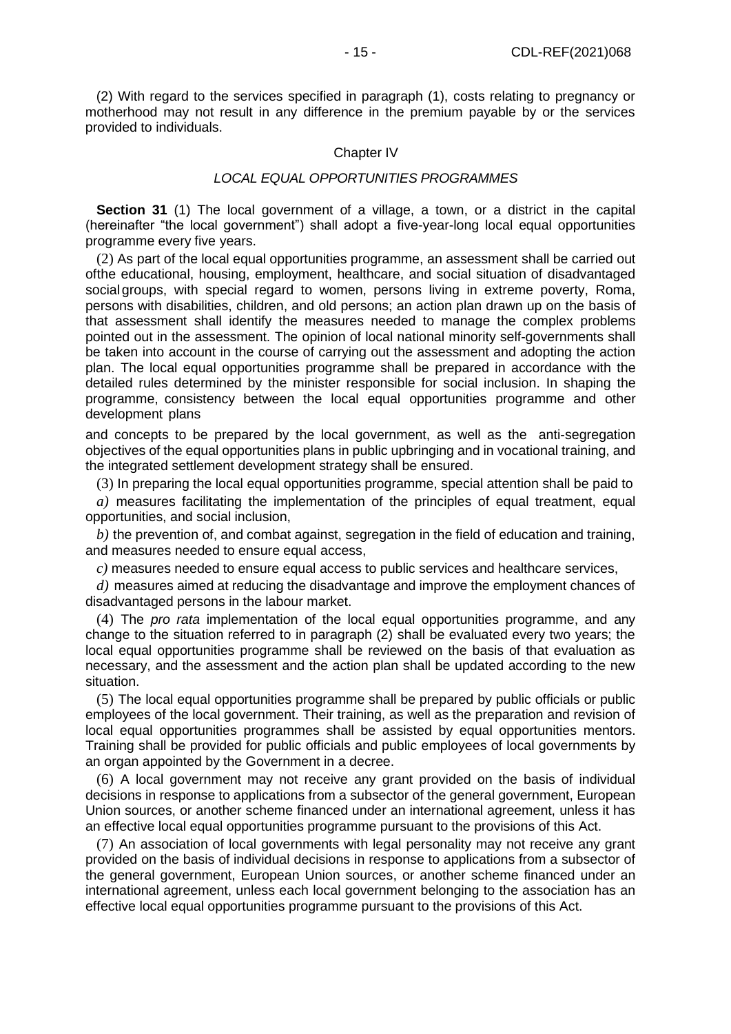(2) With regard to the services specified in paragraph (1), costs relating to pregnancy or motherhood may not result in any difference in the premium payable by or the services provided to individuals.

#### Chapter IV

#### *LOCAL EQUAL OPPORTUNITIES PROGRAMMES*

**Section 31** (1) The local government of a village, a town, or a district in the capital (hereinafter "the local government") shall adopt a five-year-long local equal opportunities programme every five years.

(2) As part of the local equal opportunities programme, an assessment shall be carried out ofthe educational, housing, employment, healthcare, and social situation of disadvantaged social groups, with special regard to women, persons living in extreme poverty, Roma, persons with disabilities, children, and old persons; an action plan drawn up on the basis of that assessment shall identify the measures needed to manage the complex problems pointed out in the assessment. The opinion of local national minority self-governments shall be taken into account in the course of carrying out the assessment and adopting the action plan. The local equal opportunities programme shall be prepared in accordance with the detailed rules determined by the minister responsible for social inclusion. In shaping the programme, consistency between the local equal opportunities programme and other development plans

and concepts to be prepared by the local government, as well as the anti-segregation objectives of the equal opportunities plans in public upbringing and in vocational training, and the integrated settlement development strategy shall be ensured.

(3) In preparing the local equal opportunities programme, special attention shall be paid to

*a)* measures facilitating the implementation of the principles of equal treatment, equal opportunities, and social inclusion,

*b)* the prevention of, and combat against, segregation in the field of education and training, and measures needed to ensure equal access,

*c)* measures needed to ensure equal access to public services and healthcare services,

*d)* measures aimed at reducing the disadvantage and improve the employment chances of disadvantaged persons in the labour market.

(4) The *pro rata* implementation of the local equal opportunities programme, and any change to the situation referred to in paragraph (2) shall be evaluated every two years; the local equal opportunities programme shall be reviewed on the basis of that evaluation as necessary, and the assessment and the action plan shall be updated according to the new situation.

(5) The local equal opportunities programme shall be prepared by public officials or public employees of the local government. Their training, as well as the preparation and revision of local equal opportunities programmes shall be assisted by equal opportunities mentors. Training shall be provided for public officials and public employees of local governments by an organ appointed by the Government in a decree.

(6) A local government may not receive any grant provided on the basis of individual decisions in response to applications from a subsector of the general government, European Union sources, or another scheme financed under an international agreement, unless it has an effective local equal opportunities programme pursuant to the provisions of this Act.

(7) An association of local governments with legal personality may not receive any grant provided on the basis of individual decisions in response to applications from a subsector of the general government, European Union sources, or another scheme financed under an international agreement, unless each local government belonging to the association has an effective local equal opportunities programme pursuant to the provisions of this Act.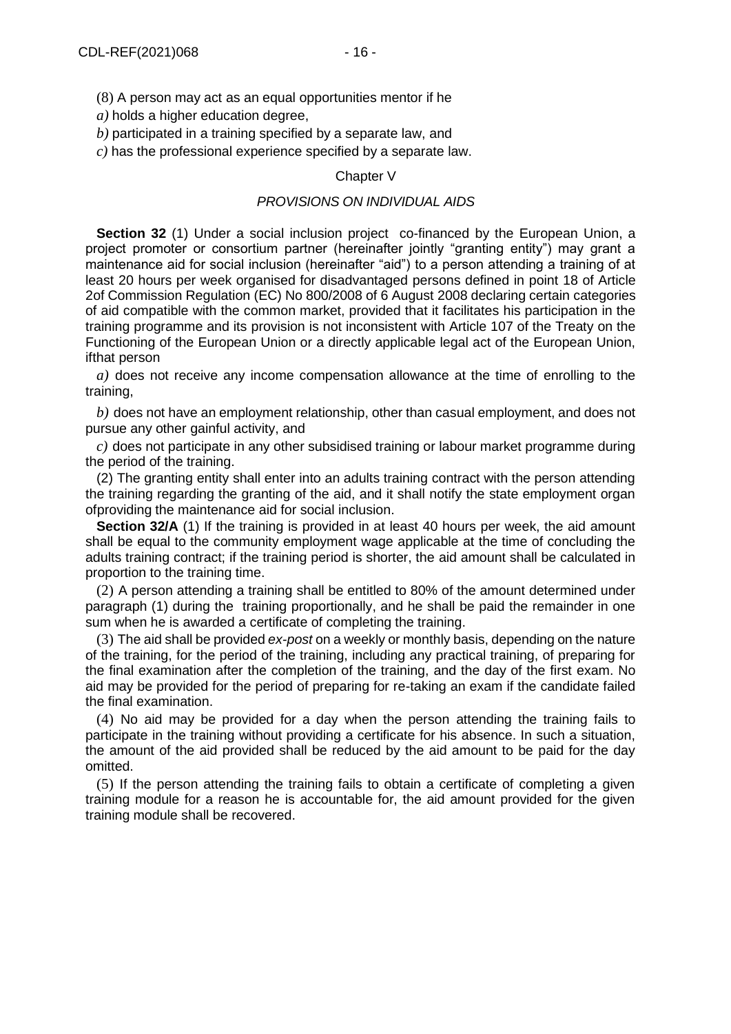(8) A person may act as an equal opportunities mentor if he

*a)* holds a higher education degree,

*b)* participated in a training specified by a separate law, and

*c)* has the professional experience specified by a separate law.

## Chapter V

## *PROVISIONS ON INDIVIDUAL AIDS*

**Section 32** (1) Under a social inclusion project co-financed by the European Union, a project promoter or consortium partner (hereinafter jointly "granting entity") may grant a maintenance aid for social inclusion (hereinafter "aid") to a person attending a training of at least 20 hours per week organised for disadvantaged persons defined in point 18 of Article 2of Commission Regulation (EC) No 800/2008 of 6 August 2008 declaring certain categories of aid compatible with the common market, provided that it facilitates his participation in the training programme and its provision is not inconsistent with Article 107 of the Treaty on the Functioning of the European Union or a directly applicable legal act of the European Union, ifthat person

*a)* does not receive any income compensation allowance at the time of enrolling to the training,

*b)* does not have an employment relationship, other than casual employment, and does not pursue any other gainful activity, and

*c)* does not participate in any other subsidised training or labour market programme during the period of the training.

(2) The granting entity shall enter into an adults training contract with the person attending the training regarding the granting of the aid, and it shall notify the state employment organ ofproviding the maintenance aid for social inclusion.

**Section 32/A** (1) If the training is provided in at least 40 hours per week, the aid amount shall be equal to the community employment wage applicable at the time of concluding the adults training contract; if the training period is shorter, the aid amount shall be calculated in proportion to the training time.

(2) A person attending a training shall be entitled to 80% of the amount determined under paragraph (1) during the training proportionally, and he shall be paid the remainder in one sum when he is awarded a certificate of completing the training.

(3) The aid shall be provided *ex-post* on a weekly or monthly basis, depending on the nature of the training, for the period of the training, including any practical training, of preparing for the final examination after the completion of the training, and the day of the first exam. No aid may be provided for the period of preparing for re-taking an exam if the candidate failed the final examination.

(4) No aid may be provided for a day when the person attending the training fails to participate in the training without providing a certificate for his absence. In such a situation, the amount of the aid provided shall be reduced by the aid amount to be paid for the day omitted.

(5) If the person attending the training fails to obtain a certificate of completing a given training module for a reason he is accountable for, the aid amount provided for the given training module shall be recovered.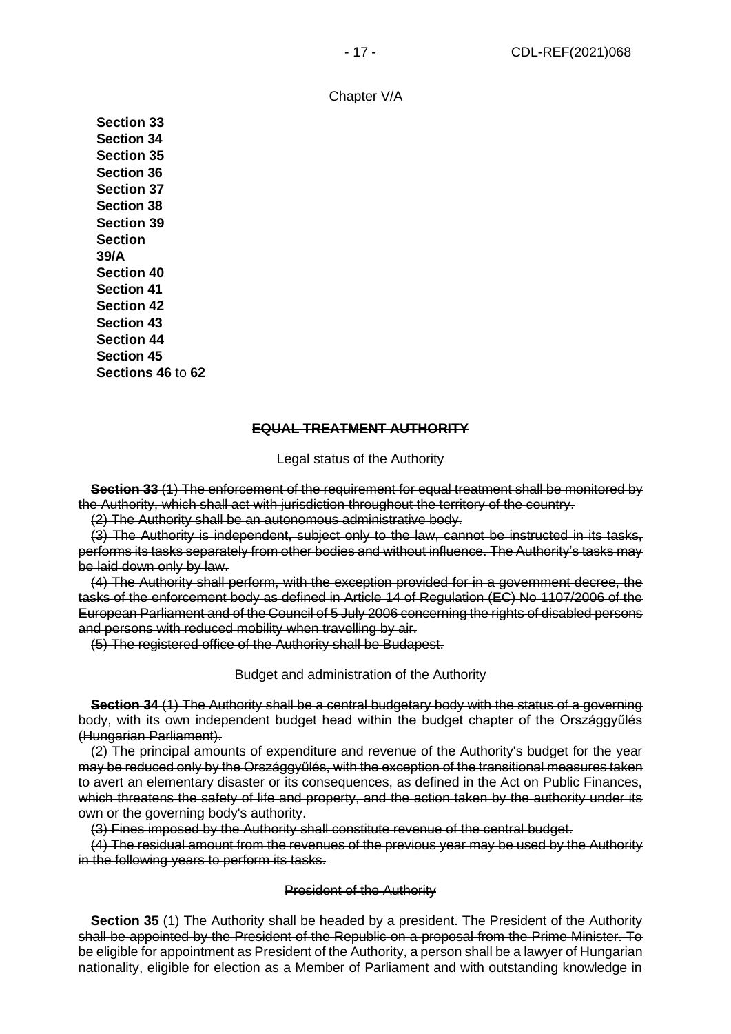Chapter V/A

**Section 33 Section 34 Section 35 Section 36 Section 37 Section 38 Section 39 Section 39/A Section 40 Section 41 Section 42 Section 43 Section 44 Section 45 Sections 46** to **62**

## **EQUAL TREATMENT AUTHORITY**

#### Legal status of the Authority

**Section 33** (1) The enforcement of the requirement for equal treatment shall be monitored by the Authority, which shall act with jurisdiction throughout the territory of the country.

(2) The Authority shall be an autonomous administrative body.

(3) The Authority is independent, subject only to the law, cannot be instructed in its tasks, performs its tasks separately from other bodies and without influence. The Authority's tasks may be laid down only by law.

(4) The Authority shall perform, with the exception provided for in a government decree, the tasks of the enforcement body as defined in Article 14 of Regulation (EC) No 1107/2006 of the European Parliament and of the Council of 5 July 2006 concerning the rights of disabled persons and persons with reduced mobility when travelling by air.

(5) The registered office of the Authority shall be Budapest.

#### Budget and administration of the Authority

**Section 34** (1) The Authority shall be a central budgetary body with the status of a governing body, with its own independent budget head within the budget chapter of the Országgyűlés (Hungarian Parliament).

(2) The principal amounts of expenditure and revenue of the Authority's budget for the year may be reduced only by the Országgyűlés, with the exception of the transitional measures taken to avert an elementary disaster or its consequences, as defined in the Act on Public Finances, which threatens the safety of life and property, and the action taken by the authority under its own or the governing body's authority.

(3) Fines imposed by the Authority shall constitute revenue of the central budget.

(4) The residual amount from the revenues of the previous year may be used by the Authority in the following years to perform its tasks.

#### President of the Authority

**Section 35** (1) The Authority shall be headed by a president. The President of the Authority shall be appointed by the President of the Republic on a proposal from the Prime Minister. To be eligible for appointment as President of the Authority, a person shall be a lawyer of Hungarian nationality, eligible for election as a Member of Parliament and with outstanding knowledge in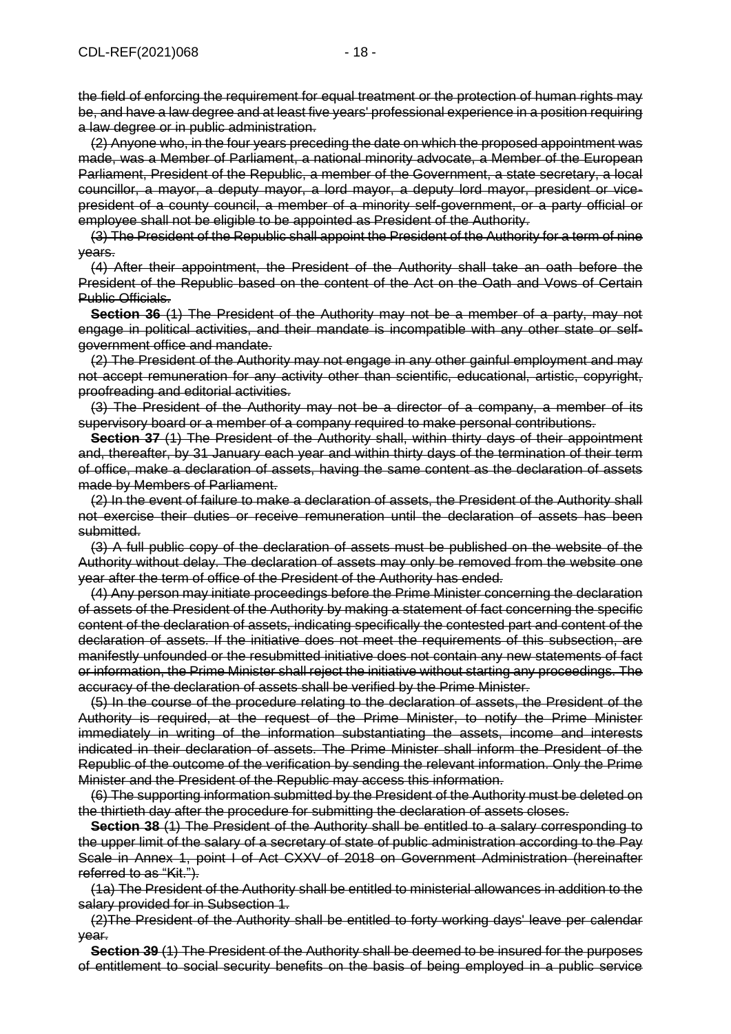the field of enforcing the requirement for equal treatment or the protection of human rights may be, and have a law degree and at least five years' professional experience in a position requiring a law degree or in public administration.

(2) Anyone who, in the four years preceding the date on which the proposed appointment was made, was a Member of Parliament, a national minority advocate, a Member of the European Parliament, President of the Republic, a member of the Government, a state secretary, a local councillor, a mayor, a deputy mayor, a lord mayor, a deputy lord mayor, president or vicepresident of a county council, a member of a minority self-government, or a party official or employee shall not be eligible to be appointed as President of the Authority.

(3) The President of the Republic shall appoint the President of the Authority for a term of nine years.

(4) After their appointment, the President of the Authority shall take an oath before the President of the Republic based on the content of the Act on the Oath and Vows of Certain Public Officials.

**Section 36** (1) The President of the Authority may not be a member of a party, may not engage in political activities, and their mandate is incompatible with any other state or selfgovernment office and mandate.

(2) The President of the Authority may not engage in any other gainful employment and may not accept remuneration for any activity other than scientific, educational, artistic, copyright, proofreading and editorial activities.

(3) The President of the Authority may not be a director of a company, a member of its supervisory board or a member of a company required to make personal contributions.

**Section 37** (1) The President of the Authority shall, within thirty days of their appointment and, thereafter, by 31 January each year and within thirty days of the termination of their term of office, make a declaration of assets, having the same content as the declaration of assets made by Members of Parliament.

(2) In the event of failure to make a declaration of assets, the President of the Authority shall not exercise their duties or receive remuneration until the declaration of assets has been submitted.

(3) A full public copy of the declaration of assets must be published on the website of the Authority without delay. The declaration of assets may only be removed from the website one year after the term of office of the President of the Authority has ended.

(4) Any person may initiate proceedings before the Prime Minister concerning the declaration of assets of the President of the Authority by making a statement of fact concerning the specific content of the declaration of assets, indicating specifically the contested part and content of the declaration of assets. If the initiative does not meet the requirements of this subsection, are manifestly unfounded or the resubmitted initiative does not contain any new statements of fact or information, the Prime Minister shall reject the initiative without starting any proceedings. The accuracy of the declaration of assets shall be verified by the Prime Minister.

(5) In the course of the procedure relating to the declaration of assets, the President of the Authority is required, at the request of the Prime Minister, to notify the Prime Minister immediately in writing of the information substantiating the assets, income and interests indicated in their declaration of assets. The Prime Minister shall inform the President of the Republic of the outcome of the verification by sending the relevant information. Only the Prime Minister and the President of the Republic may access this information.

(6) The supporting information submitted by the President of the Authority must be deleted on the thirtieth day after the procedure for submitting the declaration of assets closes.

**Section 38** (1) The President of the Authority shall be entitled to a salary corresponding to the upper limit of the salary of a secretary of state of public administration according to the Pay Scale in Annex 1, point I of Act CXXV of 2018 on Government Administration (hereinafter referred to as "Kit.").

(1a) The President of the Authority shall be entitled to ministerial allowances in addition to the salary provided for in Subsection 1.

(2)The President of the Authority shall be entitled to forty working days' leave per calendar year.

**Section 39** (1) The President of the Authority shall be deemed to be insured for the purposes of entitlement to social security benefits on the basis of being employed in a public service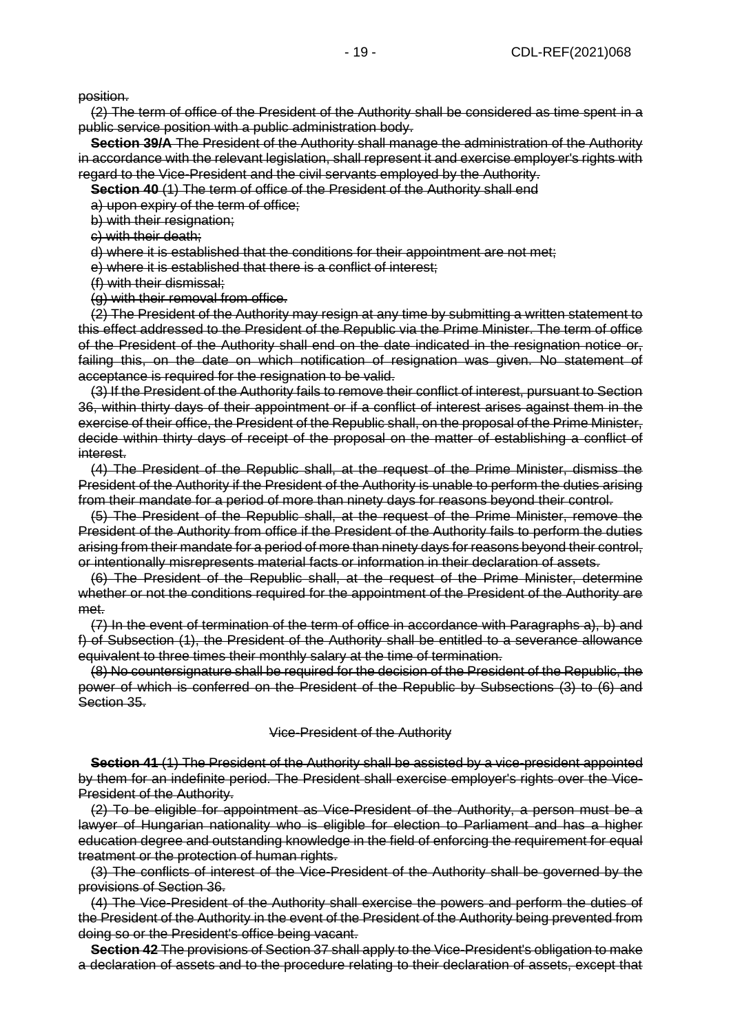position.

(2) The term of office of the President of the Authority shall be considered as time spent in a public service position with a public administration body.

**Section 39/A** The President of the Authority shall manage the administration of the Authority in accordance with the relevant legislation, shall represent it and exercise employer's rights with regard to the Vice-President and the civil servants employed by the Authority.

**Section 40** (1) The term of office of the President of the Authority shall end

a) upon expiry of the term of office;

b) with their resignation;

c) with their death;

d) where it is established that the conditions for their appointment are not met;

e) where it is established that there is a conflict of interest;

(f) with their dismissal;

(g) with their removal from office.

(2) The President of the Authority may resign at any time by submitting a written statement to this effect addressed to the President of the Republic via the Prime Minister. The term of office of the President of the Authority shall end on the date indicated in the resignation notice or, failing this, on the date on which notification of resignation was given. No statement of acceptance is required for the resignation to be valid.

(3) If the President of the Authority fails to remove their conflict of interest, pursuant to Section 36, within thirty days of their appointment or if a conflict of interest arises against them in the exercise of their office, the President of the Republic shall, on the proposal of the Prime Minister, decide within thirty days of receipt of the proposal on the matter of establishing a conflict of interest.

(4) The President of the Republic shall, at the request of the Prime Minister, dismiss the President of the Authority if the President of the Authority is unable to perform the duties arising from their mandate for a period of more than ninety days for reasons beyond their control.

(5) The President of the Republic shall, at the request of the Prime Minister, remove the President of the Authority from office if the President of the Authority fails to perform the duties arising from their mandate for a period of more than ninety days for reasons beyond their control, or intentionally misrepresents material facts or information in their declaration of assets.

(6) The President of the Republic shall, at the request of the Prime Minister, determine whether or not the conditions required for the appointment of the President of the Authority are met.

(7) In the event of termination of the term of office in accordance with Paragraphs a), b) and f) of Subsection (1), the President of the Authority shall be entitled to a severance allowance equivalent to three times their monthly salary at the time of termination.

(8) No countersignature shall be required for the decision of the President of the Republic, the power of which is conferred on the President of the Republic by Subsections (3) to (6) and Section 35.

## Vice-President of the Authority

**Section 41** (1) The President of the Authority shall be assisted by a vice-president appointed by them for an indefinite period. The President shall exercise employer's rights over the Vice-President of the Authority.

(2) To be eligible for appointment as Vice-President of the Authority, a person must be a lawyer of Hungarian nationality who is eligible for election to Parliament and has a higher education degree and outstanding knowledge in the field of enforcing the requirement for equal treatment or the protection of human rights.

(3) The conflicts of interest of the Vice-President of the Authority shall be governed by the provisions of Section 36.

(4) The Vice-President of the Authority shall exercise the powers and perform the duties of the President of the Authority in the event of the President of the Authority being prevented from doing so or the President's office being vacant.

**Section 42** The provisions of Section 37 shall apply to the Vice-President's obligation to make a declaration of assets and to the procedure relating to their declaration of assets, except that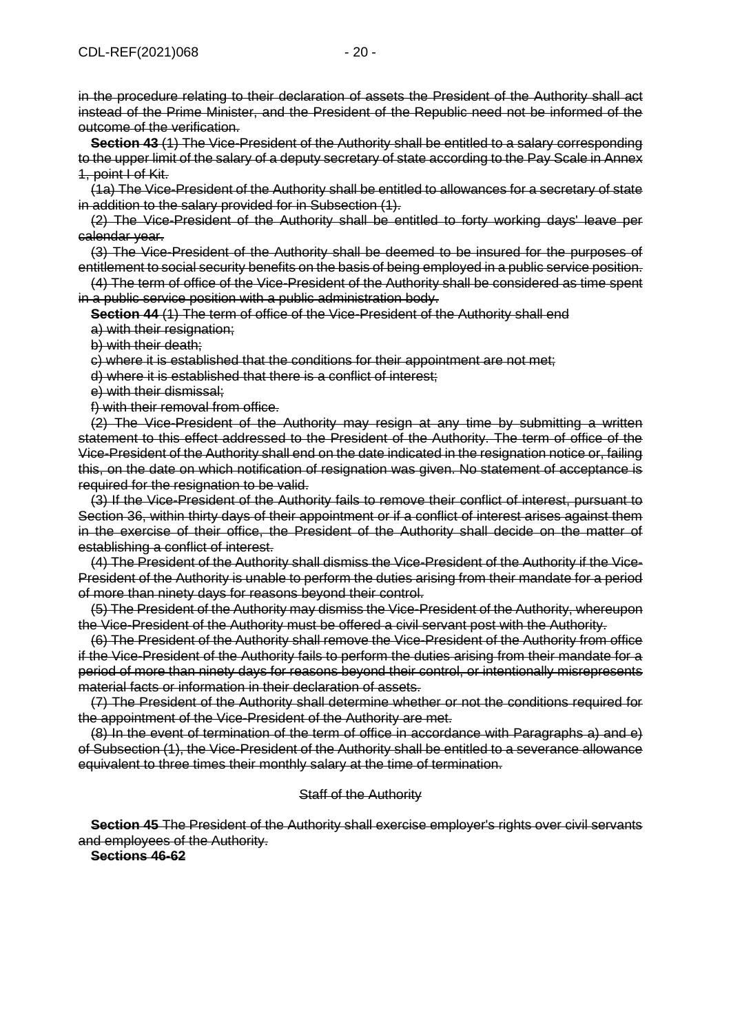in the procedure relating to their declaration of assets the President of the Authority shall act instead of the Prime Minister, and the President of the Republic need not be informed of the outcome of the verification.

**Section 43** (1) The Vice-President of the Authority shall be entitled to a salary corresponding to the upper limit of the salary of a deputy secretary of state according to the Pay Scale in Annex 1, point I of Kit.

(1a) The Vice-President of the Authority shall be entitled to allowances for a secretary of state in addition to the salary provided for in Subsection (1).

(2) The Vice-President of the Authority shall be entitled to forty working days' leave per calendar year.

(3) The Vice-President of the Authority shall be deemed to be insured for the purposes of entitlement to social security benefits on the basis of being employed in a public service position.

(4) The term of office of the Vice-President of the Authority shall be considered as time spent in a public service position with a public administration body.

**Section 44** (1) The term of office of the Vice-President of the Authority shall end

a) with their resignation;

b) with their death;

c) where it is established that the conditions for their appointment are not met;

d) where it is established that there is a conflict of interest;

e) with their dismissal;

f) with their removal from office.

(2) The Vice-President of the Authority may resign at any time by submitting a written statement to this effect addressed to the President of the Authority. The term of office of the Vice-President of the Authority shall end on the date indicated in the resignation notice or, failing this, on the date on which notification of resignation was given. No statement of acceptance is required for the resignation to be valid.

(3) If the Vice-President of the Authority fails to remove their conflict of interest, pursuant to Section 36, within thirty days of their appointment or if a conflict of interest arises against them in the exercise of their office, the President of the Authority shall decide on the matter of establishing a conflict of interest.

(4) The President of the Authority shall dismiss the Vice-President of the Authority if the Vice-President of the Authority is unable to perform the duties arising from their mandate for a period of more than ninety days for reasons beyond their control.

(5) The President of the Authority may dismiss the Vice-President of the Authority, whereupon the Vice-President of the Authority must be offered a civil servant post with the Authority.

(6) The President of the Authority shall remove the Vice-President of the Authority from office if the Vice-President of the Authority fails to perform the duties arising from their mandate for a period of more than ninety days for reasons beyond their control, or intentionally misrepresents material facts or information in their declaration of assets.

(7) The President of the Authority shall determine whether or not the conditions required for the appointment of the Vice-President of the Authority are met.

(8) In the event of termination of the term of office in accordance with Paragraphs a) and e) of Subsection (1), the Vice-President of the Authority shall be entitled to a severance allowance equivalent to three times their monthly salary at the time of termination.

#### Staff of the Authority

**Section 45** The President of the Authority shall exercise employer's rights over civil servants and employees of the Authority.

**Sections 46-62**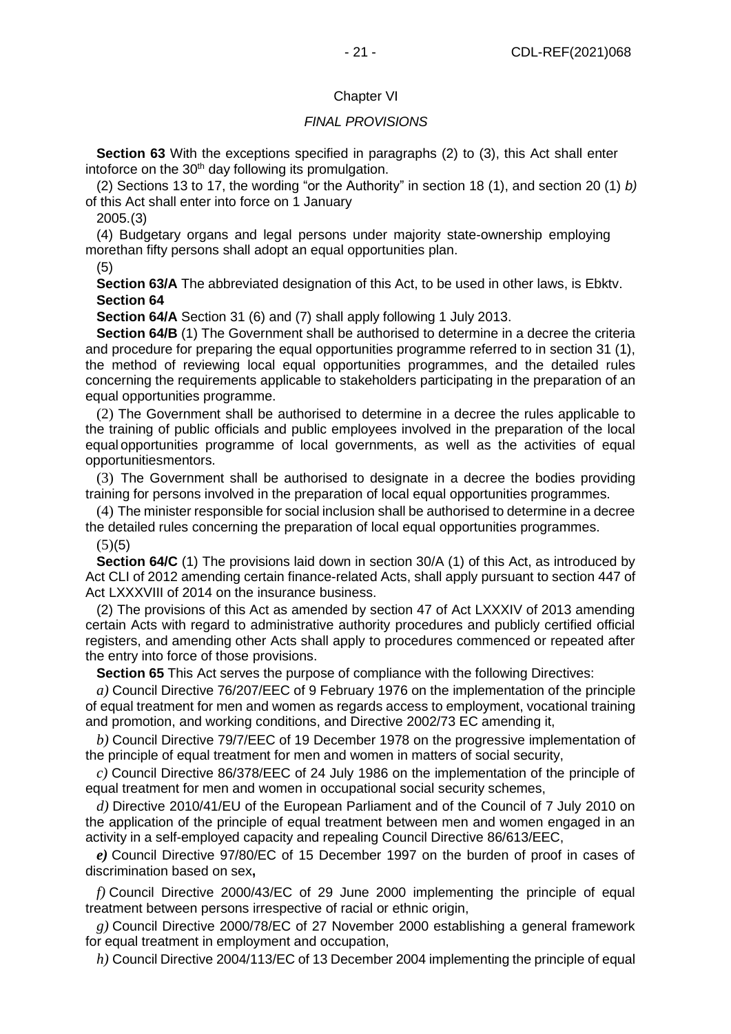## Chapter VI

## *FINAL PROVISIONS*

**Section 63** With the exceptions specified in paragraphs (2) to (3), this Act shall enter intoforce on the 30<sup>th</sup> day following its promulgation.

(2) Sections 13 to 17, the wording "or the Authority" in section 18 (1), and section 20 (1) *b)* of this Act shall enter into force on 1 January

2005.(3)

(4) Budgetary organs and legal persons under majority state-ownership employing morethan fifty persons shall adopt an equal opportunities plan.

(5)

**Section 63/A** The abbreviated designation of this Act, to be used in other laws, is Ebktv. **Section 64**

**Section 64/A** Section 31 (6) and (7) shall apply following 1 July 2013.

**Section 64/B** (1) The Government shall be authorised to determine in a decree the criteria and procedure for preparing the equal opportunities programme referred to in section 31 (1), the method of reviewing local equal opportunities programmes, and the detailed rules concerning the requirements applicable to stakeholders participating in the preparation of an equal opportunities programme.

(2) The Government shall be authorised to determine in a decree the rules applicable to the training of public officials and public employees involved in the preparation of the local equal opportunities programme of local governments, as well as the activities of equal opportunitiesmentors.

(3) The Government shall be authorised to designate in a decree the bodies providing training for persons involved in the preparation of local equal opportunities programmes.

(4) The minister responsible for social inclusion shall be authorised to determine in a decree the detailed rules concerning the preparation of local equal opportunities programmes.

 $(5)(5)$ 

**Section 64/C** (1) The provisions laid down in section 30/A (1) of this Act, as introduced by Act CLI of 2012 amending certain finance-related Acts, shall apply pursuant to section 447 of Act LXXXVIII of 2014 on the insurance business.

(2) The provisions of this Act as amended by section 47 of Act LXXXIV of 2013 amending certain Acts with regard to administrative authority procedures and publicly certified official registers, and amending other Acts shall apply to procedures commenced or repeated after the entry into force of those provisions.

**Section 65** This Act serves the purpose of compliance with the following Directives:

*a)* Council Directive 76/207/EEC of 9 February 1976 on the implementation of the principle of equal treatment for men and women as regards access to employment, vocational training and promotion, and working conditions, and Directive 2002/73 EC amending it,

*b)* Council Directive 79/7/EEC of 19 December 1978 on the progressive implementation of the principle of equal treatment for men and women in matters of social security,

*c)* Council Directive 86/378/EEC of 24 July 1986 on the implementation of the principle of equal treatment for men and women in occupational social security schemes,

*d)* Directive 2010/41/EU of the European Parliament and of the Council of 7 July 2010 on the application of the principle of equal treatment between men and women engaged in an activity in a self-employed capacity and repealing Council Directive 86/613/EEC,

*e)* Council Directive 97/80/EC of 15 December 1997 on the burden of proof in cases of discrimination based on sex**,**

*f)* Council Directive 2000/43/EC of 29 June 2000 implementing the principle of equal treatment between persons irrespective of racial or ethnic origin,

*g)* Council Directive 2000/78/EC of 27 November 2000 establishing a general framework for equal treatment in employment and occupation,

*h)* Council Directive 2004/113/EC of 13 December 2004 implementing the principle of equal